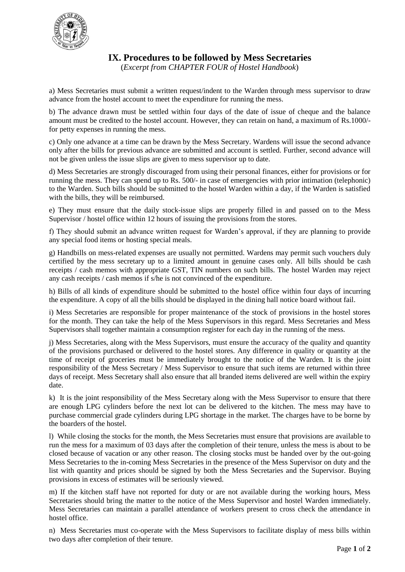

**IX. Procedures to be followed by Mess Secretaries**

(*Excerpt from CHAPTER FOUR of Hostel Handbook*)

a) Mess Secretaries must submit a written request/indent to the Warden through mess supervisor to draw advance from the hostel account to meet the expenditure for running the mess.

b) The advance drawn must be settled within four days of the date of issue of cheque and the balance amount must be credited to the hostel account. However, they can retain on hand, a maximum of Rs.1000/ for petty expenses in running the mess.

c) Only one advance at a time can be drawn by the Mess Secretary. Wardens will issue the second advance only after the bills for previous advance are submitted and account is settled. Further, second advance will not be given unless the issue slips are given to mess supervisor up to date.

d) Mess Secretaries are strongly discouraged from using their personal finances, either for provisions or for running the mess. They can spend up to Rs. 500/- in case of emergencies with prior intimation (telephonic) to the Warden. Such bills should be submitted to the hostel Warden within a day, if the Warden is satisfied with the bills, they will be reimbursed.

e) They must ensure that the daily stock-issue slips are properly filled in and passed on to the Mess Supervisor / hostel office within 12 hours of issuing the provisions from the stores.

f) They should submit an advance written request for Warden's approval, if they are planning to provide any special food items or hosting special meals.

g) Handbills on mess-related expenses are usually not permitted. Wardens may permit such vouchers duly certified by the mess secretary up to a limited amount in genuine cases only. All bills should be cash receipts / cash memos with appropriate GST, TIN numbers on such bills. The hostel Warden may reject any cash receipts / cash memos if s/he is not convinced of the expenditure.

h) Bills of all kinds of expenditure should be submitted to the hostel office within four days of incurring the expenditure. A copy of all the bills should be displayed in the dining hall notice board without fail.

i) Mess Secretaries are responsible for proper maintenance of the stock of provisions in the hostel stores for the month. They can take the help of the Mess Supervisors in this regard. Mess Secretaries and Mess Supervisors shall together maintain a consumption register for each day in the running of the mess.

j) Mess Secretaries, along with the Mess Supervisors, must ensure the accuracy of the quality and quantity of the provisions purchased or delivered to the hostel stores. Any difference in quality or quantity at the time of receipt of groceries must be immediately brought to the notice of the Warden. It is the joint responsibility of the Mess Secretary / Mess Supervisor to ensure that such items are returned within three days of receipt. Mess Secretary shall also ensure that all branded items delivered are well within the expiry date.

k) It is the joint responsibility of the Mess Secretary along with the Mess Supervisor to ensure that there are enough LPG cylinders before the next lot can be delivered to the kitchen. The mess may have to purchase commercial grade cylinders during LPG shortage in the market. The charges have to be borne by the boarders of the hostel.

l) While closing the stocks for the month, the Mess Secretaries must ensure that provisions are available to run the mess for a maximum of 03 days after the completion of their tenure, unless the mess is about to be closed because of vacation or any other reason. The closing stocks must be handed over by the out-going Mess Secretaries to the in-coming Mess Secretaries in the presence of the Mess Supervisor on duty and the list with quantity and prices should be signed by both the Mess Secretaries and the Supervisor. Buying provisions in excess of estimates will be seriously viewed.

m) If the kitchen staff have not reported for duty or are not available during the working hours, Mess Secretaries should bring the matter to the notice of the Mess Supervisor and hostel Warden immediately. Mess Secretaries can maintain a parallel attendance of workers present to cross check the attendance in hostel office.

n) Mess Secretaries must co-operate with the Mess Supervisors to facilitate display of mess bills within two days after completion of their tenure.